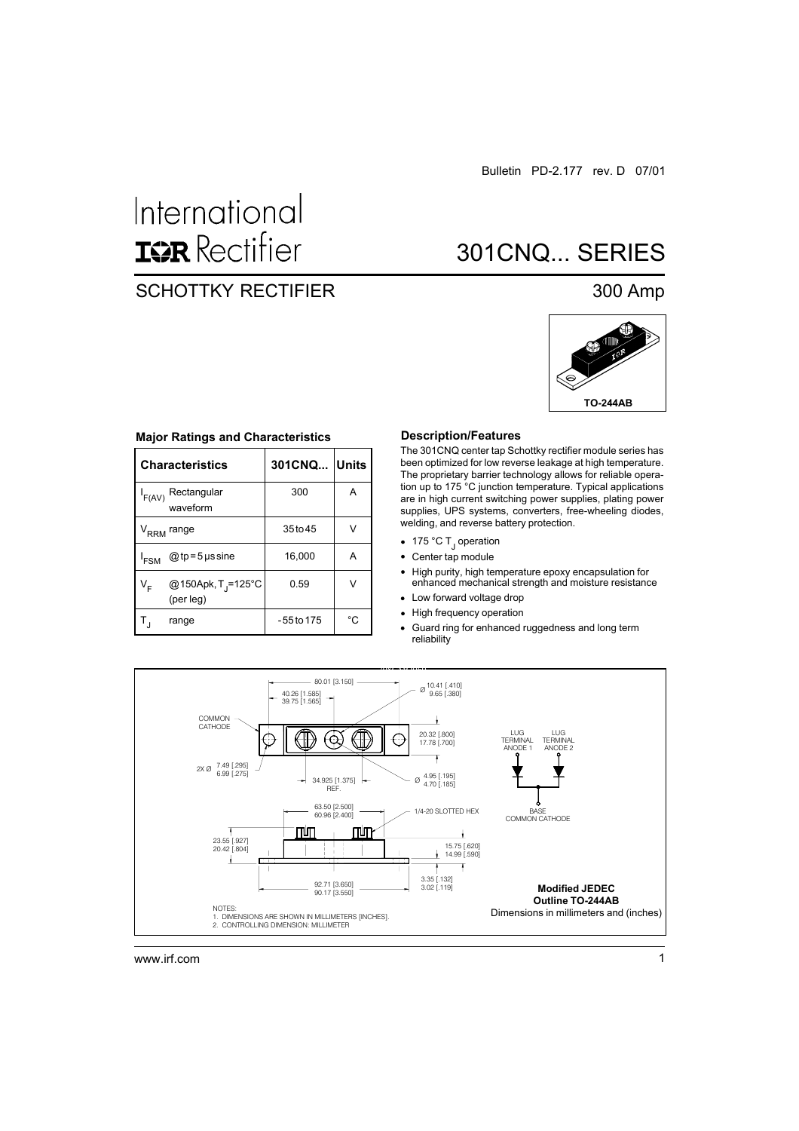# International **ISR** Rectifier

### SCHOTTKY RECTIFIER 300 Amp

## 301CNQ... SERIES



#### **Major Ratings and Characteristics**

|                  | <b>Characteristics</b>                      | 301CNQ Units |    |  |
|------------------|---------------------------------------------|--------------|----|--|
| $I_{F(AV)}$      | Rectangular<br>waveform                     | 300          | A  |  |
|                  | V <sub>RRM</sub> range                      | 35 to 45     | V  |  |
| ' <sub>FSM</sub> | $@tp = 5$ µs sine                           | 16,000       | А  |  |
| $V_F$            | @150Apk, T <sub>J</sub> =125°C<br>(per leg) | 0.59         | V  |  |
|                  | range                                       | - 55 to 175  | °C |  |

#### **Description/Features**

The 301CNQ center tap Schottky rectifier module series has been optimized for low reverse leakage at high temperature. The proprietary barrier technology allows for reliable operation up to 175 °C junction temperature. Typical applications are in high current switching power supplies, plating power supplies, UPS systems, converters, free-wheeling diodes, welding, and reverse battery protection.

- 175 °C T<sub>J</sub> operation
- Center tap module  $\bullet$
- High purity, high temperature epoxy encapsulation for  $\bullet$ enhanced mechanical strength and moisture resistance
- Low forward voltage drop
- High frequency operation
- Guard ring for enhanced ruggedness and long term  $\bullet$ reliability

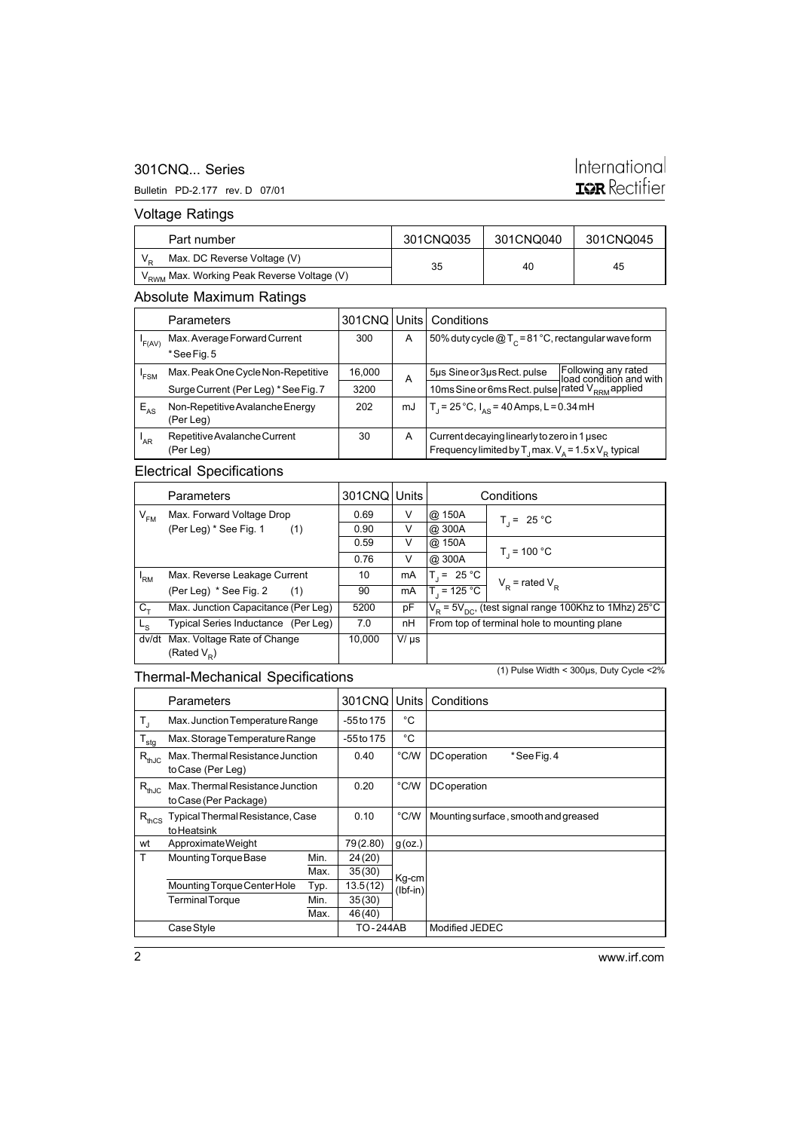#### 301CNQ... Series

#### Bulletin PD-2.177 rev. D 07/01

### International **ISR** Rectifier

Voltage Ratings

| Part number                 |                                                        | 301CNQ035 | 301CNQ040 | 301CNQ045 |
|-----------------------------|--------------------------------------------------------|-----------|-----------|-----------|
| Max. DC Reverse Voltage (V) |                                                        | 35        | 40        | 45        |
|                             | V <sub>RWM</sub> Max. Working Peak Reverse Voltage (V) |           |           |           |

#### Absolute Maximum Ratings

|                 | <b>Parameters</b>                            | 301CNQ Units |    | Conditions                                                                                                    |                                                |  |
|-----------------|----------------------------------------------|--------------|----|---------------------------------------------------------------------------------------------------------------|------------------------------------------------|--|
| 'F(AV)          | Max. Average Forward Current                 | 300          | A  | 50% duty cycle $@T_c = 81 °C$ , rectangular wave form                                                         |                                                |  |
|                 | *See Fig. 5                                  |              |    |                                                                                                               |                                                |  |
| 'FSM            | Max. Peak One Cycle Non-Repetitive           | 16,000       | A  | 5µs Sine or 3µs Rect. pulse                                                                                   | Following any rated<br>Joad condition and with |  |
|                 | Surge Current (Per Leg) * See Fig. 7         | 3200         |    | 10ms Sine or 6ms Rect. pulse rated V <sub>RRM</sub> applied                                                   |                                                |  |
| $E_{AS}$        | Non-Repetitive Avalanche Energy<br>(Per Leg) | 202          | mJ | T <sub>1</sub> = 25 °C, $I_{AS}$ = 40 Amps, L = 0.34 mH                                                       |                                                |  |
| <sup>I</sup> AR | Repetitive Avalanche Current<br>(Per Leg)    | 30           | A  | Current decaying linearly to zero in 1 used<br>Frequency limited by $T_1$ max. $V_A = 1.5 \times V_B$ typical |                                                |  |

#### Electrical Specifications

| <b>Parameters</b> |                                                 | 301CNQ Units |           | Conditions                                                   |                     |  |
|-------------------|-------------------------------------------------|--------------|-----------|--------------------------------------------------------------|---------------------|--|
| $V_{FM}$          | Max. Forward Voltage Drop                       | 0.69         | V         | @ 150A                                                       | $T_i = 25 °C$       |  |
|                   | (Per Leg) * See Fig. 1<br>(1)                   | 0.90         | V         | @ 300A                                                       |                     |  |
|                   |                                                 | 0.59         | V         | @ 150A                                                       |                     |  |
|                   |                                                 | 0.76         | V         | @ 300A                                                       | $T_{1}$ = 100 °C    |  |
| 'RM               | Max. Reverse Leakage Current                    | 10           | mA        | $T_i = 25 °C$                                                | $V_p$ = rated $V_p$ |  |
|                   | (Per Leg) * See Fig. 2<br>(1)                   | 90           | mA        | $T_1 = 125 °C$                                               |                     |  |
| $C_{+}$           | Max. Junction Capacitance (Per Leg)             | 5200         | рF        | $V_R$ = 5 $V_{DC}$ , (test signal range 100Khz to 1Mhz) 25°C |                     |  |
| ∟∝                | Typical Series Inductance (Per Leg)             | 7.0          | nH        | From top of terminal hole to mounting plane                  |                     |  |
| dv/dt             | Max. Voltage Rate of Change<br>(Rated $V_{p}$ ) | 10.000       | $V/\mu s$ |                                                              |                     |  |

### Thermal-Mechanical Specifications

(1) Pulse Width < 300µs, Duty Cycle <2%

|                  | Parameters                                                |      | 301CNQ     | Units      | Conditions                           |
|------------------|-----------------------------------------------------------|------|------------|------------|--------------------------------------|
| T,               | Max. Junction Temperature Range                           |      | -55 to 175 | °C         |                                      |
| $T_{\text{stg}}$ | Max. Storage Temperature Range                            |      | -55 to 175 | °C         |                                      |
| $R_{thJC}$       | Max. Thermal Resistance Junction<br>to Case (Per Leg)     |      | 0.40       | °C/W       | *See Fig. 4<br><b>DC</b> operation   |
| $R_{thJC}$       | Max. Thermal Resistance Junction<br>to Case (Per Package) |      | 0.20       | °C/W       | <b>DC</b> operation                  |
| $R_{thCS}$       | Typical Thermal Resistance, Case<br>to Heatsink           |      | 0.10       | °C/W       | Mounting surface, smooth and greased |
| wt               | Approximate Weight                                        |      | 79(2.80)   | $g$ (oz.)  |                                      |
| T                | Mounting Torque Base                                      | Min. | 24(20)     |            |                                      |
|                  |                                                           | Max. | 35(30)     | Kg-cm      |                                      |
|                  | Mounting Torque Center Hole                               | Typ. | 13.5(12)   | $(lbf-in)$ |                                      |
|                  | <b>Terminal Torque</b>                                    | Min. | 35(30)     |            |                                      |
|                  |                                                           | Max. | 46(40)     |            |                                      |
|                  | Case Style                                                |      | TO-244AB   |            | Modified JEDEC                       |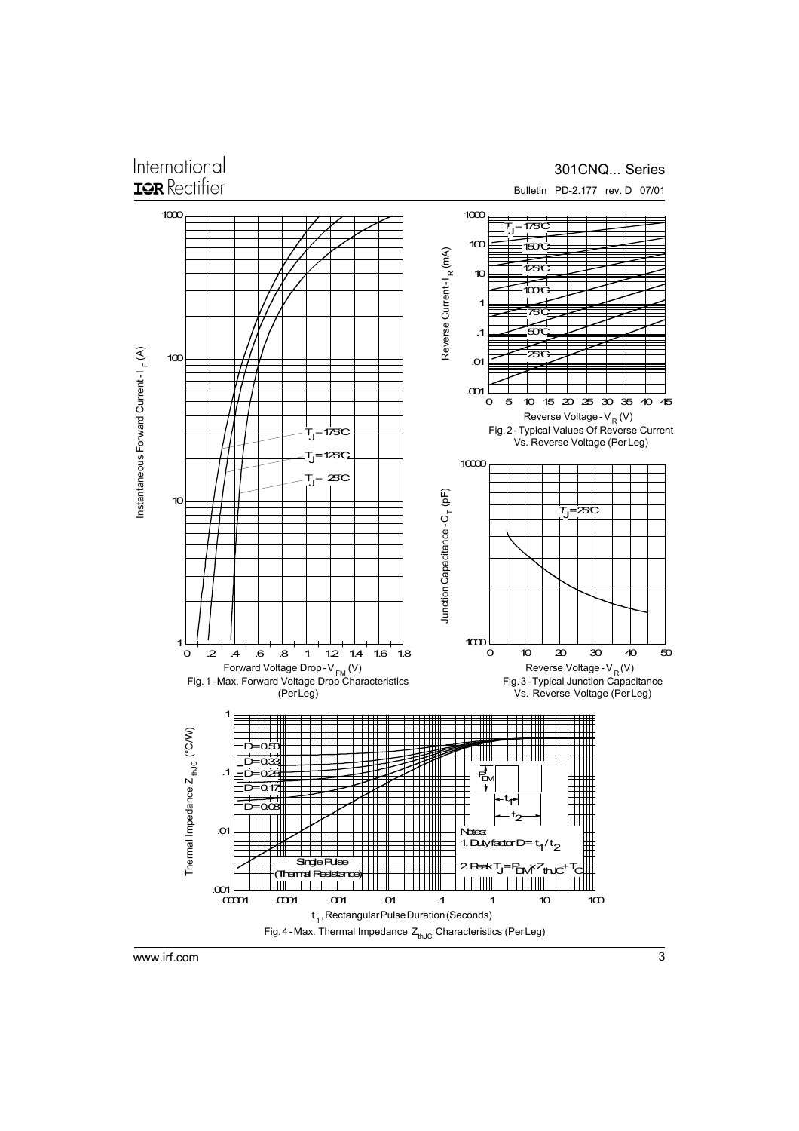### International **ISR** Rectifier

#### 301CNQ... Series

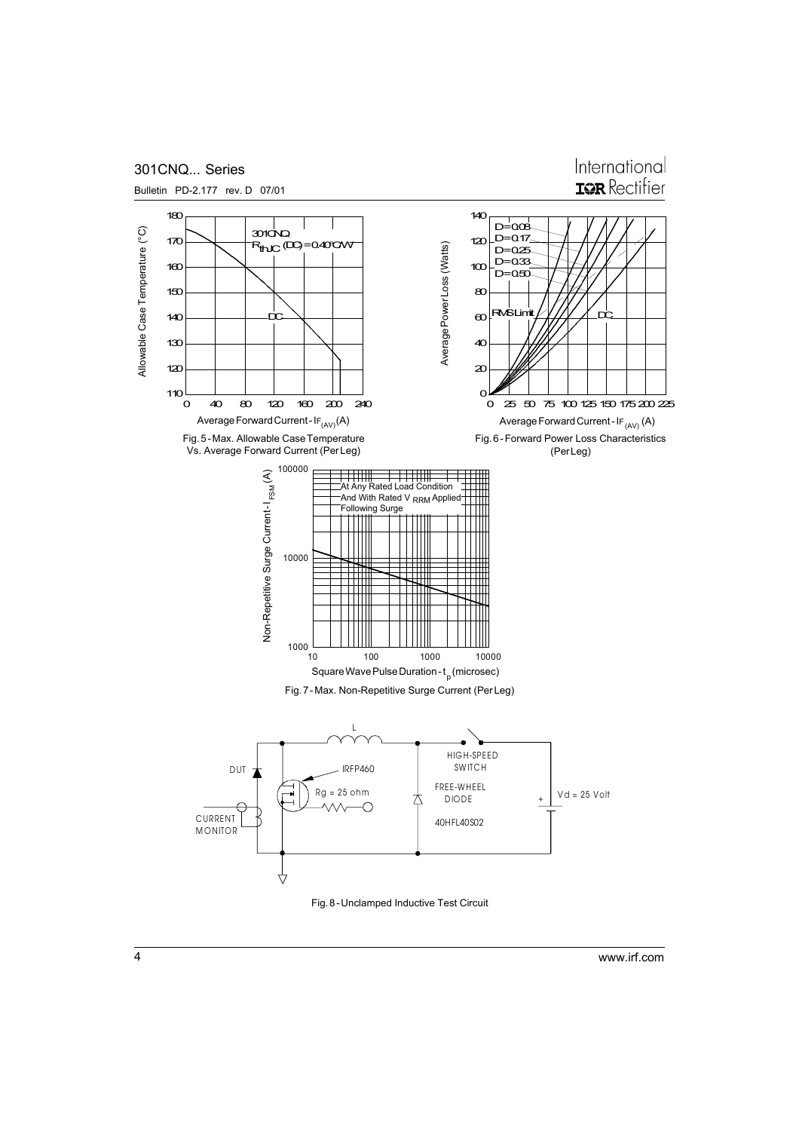